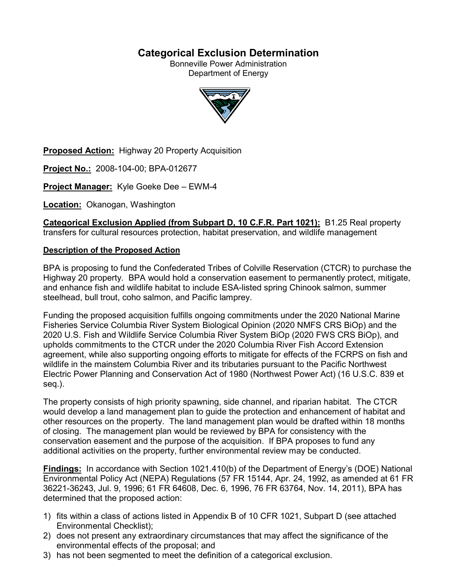## **Categorical Exclusion Determination**

Bonneville Power Administration Department of Energy



**Proposed Action:** Highway 20 Property Acquisition

**Project No.:** 2008-104-00; BPA-012677

**Project Manager:** Kyle Goeke Dee – EWM-4

**Location:** Okanogan, Washington

**Categorical Exclusion Applied (from Subpart D, 10 C.F.R. Part 1021):** B1.25 Real property transfers for cultural resources protection, habitat preservation, and wildlife management

#### **Description of the Proposed Action**

BPA is proposing to fund the Confederated Tribes of Colville Reservation (CTCR) to purchase the Highway 20 property. BPA would hold a conservation easement to permanently protect, mitigate, and enhance fish and wildlife habitat to include ESA-listed spring Chinook salmon, summer steelhead, bull trout, coho salmon, and Pacific lamprey.

Funding the proposed acquisition fulfills ongoing commitments under the 2020 National Marine Fisheries Service Columbia River System Biological Opinion (2020 NMFS CRS BiOp) and the 2020 U.S. Fish and Wildlife Service Columbia River System BiOp (2020 FWS CRS BiOp), and upholds commitments to the CTCR under the 2020 Columbia River Fish Accord Extension agreement, while also supporting ongoing efforts to mitigate for effects of the FCRPS on fish and wildlife in the mainstem Columbia River and its tributaries pursuant to the Pacific Northwest Electric Power Planning and Conservation Act of 1980 (Northwest Power Act) (16 U.S.C. 839 et seq.).

The property consists of high priority spawning, side channel, and riparian habitat. The CTCR would develop a land management plan to guide the protection and enhancement of habitat and other resources on the property. The land management plan would be drafted within 18 months of closing. The management plan would be reviewed by BPA for consistency with the conservation easement and the purpose of the acquisition. If BPA proposes to fund any additional activities on the property, further environmental review may be conducted.

**Findings:** In accordance with Section 1021.410(b) of the Department of Energy's (DOE) National Environmental Policy Act (NEPA) Regulations (57 FR 15144, Apr. 24, 1992, as amended at 61 FR 36221-36243, Jul. 9, 1996; 61 FR 64608, Dec. 6, 1996, 76 FR 63764, Nov. 14, 2011), BPA has determined that the proposed action:

- 1) fits within a class of actions listed in Appendix B of 10 CFR 1021, Subpart D (see attached Environmental Checklist);
- 2) does not present any extraordinary circumstances that may affect the significance of the environmental effects of the proposal; and
- 3) has not been segmented to meet the definition of a categorical exclusion.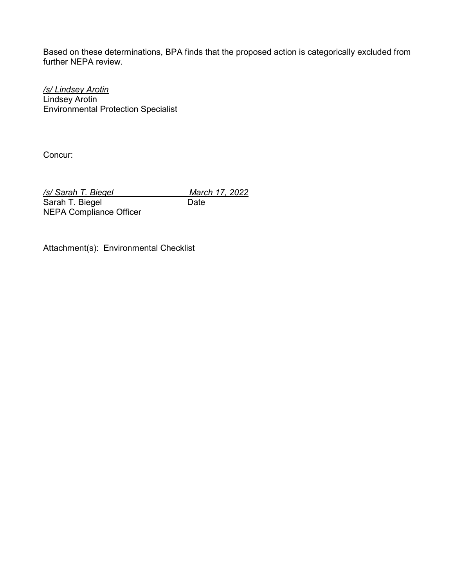Based on these determinations, BPA finds that the proposed action is categorically excluded from further NEPA review.

*/s/ Lindsey Arotin* Lindsey Arotin Environmental Protection Specialist

Concur:

*/s/ Sarah T. Biegel March 17, 2022*<br>
Sarah T. Biegel Date Date Sarah T. Biegel

NEPA Compliance Officer

Attachment(s): Environmental Checklist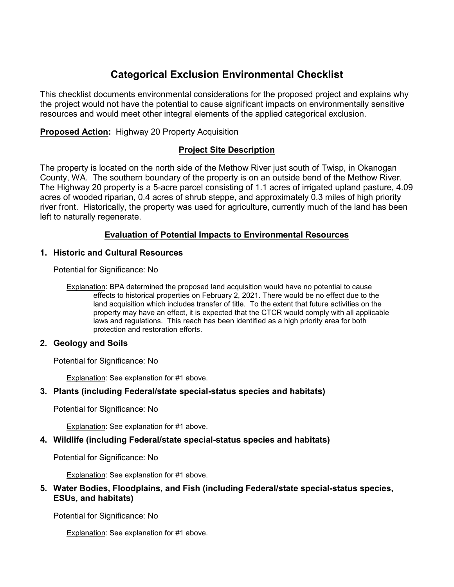# **Categorical Exclusion Environmental Checklist**

This checklist documents environmental considerations for the proposed project and explains why the project would not have the potential to cause significant impacts on environmentally sensitive resources and would meet other integral elements of the applied categorical exclusion.

**Proposed Action:** Highway 20 Property Acquisition

## **Project Site Description**

The property is located on the north side of the Methow River just south of Twisp, in Okanogan County, WA. The southern boundary of the property is on an outside bend of the Methow River. The Highway 20 property is a 5-acre parcel consisting of 1.1 acres of irrigated upland pasture, 4.09 acres of wooded riparian, 0.4 acres of shrub steppe, and approximately 0.3 miles of high priority river front. Historically, the property was used for agriculture, currently much of the land has been left to naturally regenerate.

## **Evaluation of Potential Impacts to Environmental Resources**

#### **1. Historic and Cultural Resources**

Potential for Significance: No

Explanation: BPA determined the proposed land acquisition would have no potential to cause effects to historical properties on February 2, 2021. There would be no effect due to the land acquisition which includes transfer of title. To the extent that future activities on the property may have an effect, it is expected that the CTCR would comply with all applicable laws and regulations. This reach has been identified as a high priority area for both protection and restoration efforts.

#### **2. Geology and Soils**

Potential for Significance: No

Explanation: See explanation for #1 above.

#### **3. Plants (including Federal/state special-status species and habitats)**

Potential for Significance: No

Explanation: See explanation for #1 above.

#### **4. Wildlife (including Federal/state special-status species and habitats)**

Potential for Significance: No

Explanation: See explanation for #1 above.

#### **5. Water Bodies, Floodplains, and Fish (including Federal/state special-status species, ESUs, and habitats)**

Potential for Significance: No

Explanation: See explanation for #1 above.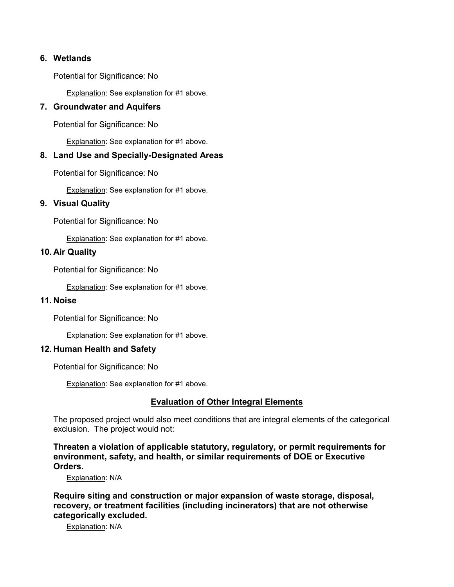#### **6. Wetlands**

Potential for Significance: No

Explanation: See explanation for #1 above.

#### **7. Groundwater and Aquifers**

Potential for Significance: No

Explanation: See explanation for #1 above.

#### **8. Land Use and Specially-Designated Areas**

Potential for Significance: No

Explanation: See explanation for #1 above.

#### **9. Visual Quality**

Potential for Significance: No

Explanation: See explanation for #1 above.

#### **10. Air Quality**

Potential for Significance: No

Explanation: See explanation for #1 above.

#### **11. Noise**

Potential for Significance: No

Explanation: See explanation for #1 above.

#### **12. Human Health and Safety**

Potential for Significance: No

Explanation: See explanation for #1 above.

## **Evaluation of Other Integral Elements**

The proposed project would also meet conditions that are integral elements of the categorical exclusion. The project would not:

**Threaten a violation of applicable statutory, regulatory, or permit requirements for environment, safety, and health, or similar requirements of DOE or Executive Orders.**

Explanation: N/A

**Require siting and construction or major expansion of waste storage, disposal, recovery, or treatment facilities (including incinerators) that are not otherwise categorically excluded.**

Explanation: N/A